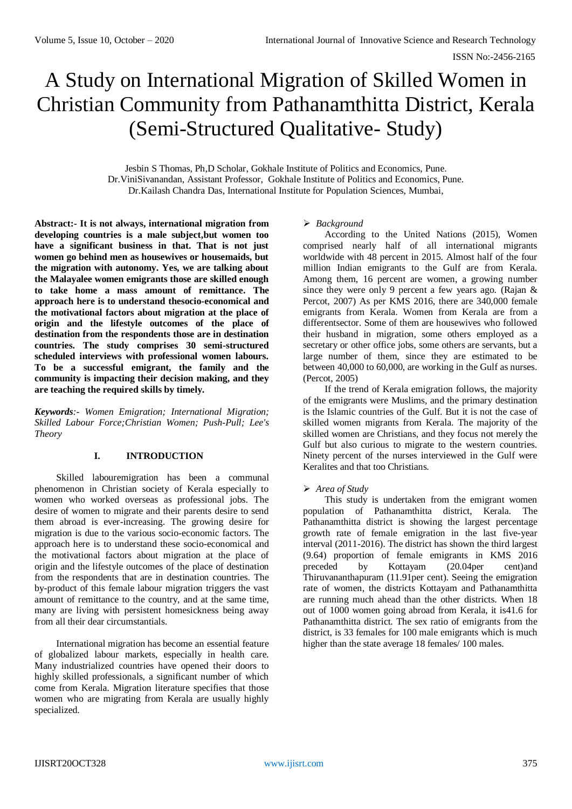# A Study on International Migration of Skilled Women in Christian Community from Pathanamthitta District, Kerala (Semi-Structured Qualitative- Study)

Jesbin S Thomas, Ph,D Scholar, Gokhale Institute of Politics and Economics, Pune. Dr.ViniSivanandan, Assistant Professor, Gokhale Institute of Politics and Economics, Pune. Dr.Kailash Chandra Das, International Institute for Population Sciences, Mumbai,

**Abstract:- It is not always, international migration from developing countries is a male subject,but women too have a significant business in that. That is not just women go behind men as housewives or housemaids, but the migration with autonomy. Yes, we are talking about the Malayalee women emigrants those are skilled enough to take home a mass amount of remittance. The approach here is to understand thesocio-economical and the motivational factors about migration at the place of origin and the lifestyle outcomes of the place of destination from the respondents those are in destination countries. The study comprises 30 semi-structured scheduled interviews with professional women labours. To be a successful emigrant, the family and the community is impacting their decision making, and they are teaching the required skills by timely.**

*Keywords:- Women Emigration; International Migration; Skilled Labour Force;Christian Women; Push-Pull; Lee's Theory*

# **I. INTRODUCTION**

Skilled labouremigration has been a communal phenomenon in Christian society of Kerala especially to women who worked overseas as professional jobs. The desire of women to migrate and their parents desire to send them abroad is ever-increasing. The growing desire for migration is due to the various socio-economic factors. The approach here is to understand these socio-economical and the motivational factors about migration at the place of origin and the lifestyle outcomes of the place of destination from the respondents that are in destination countries. The by-product of this female labour migration triggers the vast amount of remittance to the country, and at the same time, many are living with persistent homesickness being away from all their dear circumstantials.

International migration has become an essential feature of globalized labour markets, especially in health care. Many industrialized countries have opened their doors to highly skilled professionals, a significant number of which come from Kerala. Migration literature specifies that those women who are migrating from Kerala are usually highly specialized.

## *Background*

According to the United Nations (2015), Women comprised nearly half of all international migrants worldwide with 48 percent in 2015. Almost half of the four million Indian emigrants to the Gulf are from Kerala. Among them, 16 percent are women, a growing number since they were only 9 percent a few years ago. (Rajan & Percot, 2007) As per KMS 2016, there are 340,000 female emigrants from Kerala. Women from Kerala are from a differentsector. Some of them are housewives who followed their husband in migration, some others employed as a secretary or other office jobs, some others are servants, but a large number of them, since they are estimated to be between 40,000 to 60,000, are working in the Gulf as nurses. (Percot, 2005)

If the trend of Kerala emigration follows, the majority of the emigrants were Muslims, and the primary destination is the Islamic countries of the Gulf. But it is not the case of skilled women migrants from Kerala. The majority of the skilled women are Christians, and they focus not merely the Gulf but also curious to migrate to the western countries. Ninety percent of the nurses interviewed in the Gulf were Keralites and that too Christians.

# *Area of Study*

This study is undertaken from the emigrant women population of Pathanamthitta district, Kerala. The Pathanamthitta district is showing the largest percentage growth rate of female emigration in the last five-year interval (2011-2016). The district has shown the third largest (9.64) proportion of female emigrants in KMS 2016 preceded by Kottayam (20.04per cent)and Thiruvananthapuram (11.91per cent). Seeing the emigration rate of women, the districts Kottayam and Pathanamthitta are running much ahead than the other districts. When 18 out of 1000 women going abroad from Kerala, it is41.6 for Pathanamthitta district. The sex ratio of emigrants from the district, is 33 females for 100 male emigrants which is much higher than the state average 18 females/ 100 males.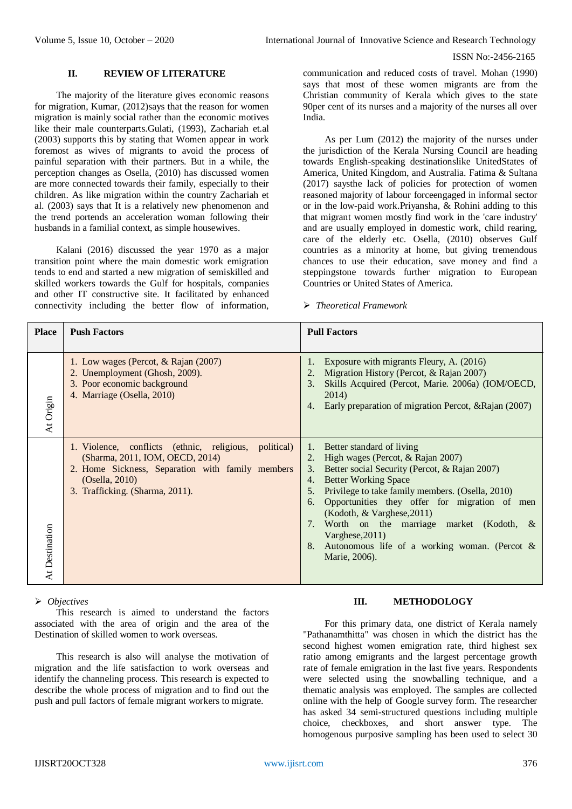## **II. REVIEW OF LITERATURE**

The majority of the literature gives economic reasons for migration, Kumar, (2012)says that the reason for women migration is mainly social rather than the economic motives like their male counterparts.Gulati, (1993), Zachariah et.al (2003) supports this by stating that Women appear in work foremost as wives of migrants to avoid the process of painful separation with their partners. But in a while, the perception changes as Osella, (2010) has discussed women are more connected towards their family, especially to their children. As like migration within the country Zachariah et al. (2003) says that It is a relatively new phenomenon and the trend portends an acceleration woman following their husbands in a familial context, as simple housewives.

Kalani (2016) discussed the year 1970 as a major transition point where the main domestic work emigration tends to end and started a new migration of semiskilled and skilled workers towards the Gulf for hospitals, companies and other IT constructive site. It facilitated by enhanced connectivity including the better flow of information,

communication and reduced costs of travel. Mohan (1990) says that most of these women migrants are from the Christian community of Kerala which gives to the state 90per cent of its nurses and a majority of the nurses all over India.

As per Lum (2012) the majority of the nurses under the jurisdiction of the Kerala Nursing Council are heading towards English-speaking destinationslike UnitedStates of America, United Kingdom, and Australia. Fatima & Sultana (2017) saysthe lack of policies for protection of women reasoned majority of labour forceengaged in informal sector or in the low-paid work.Priyansha, & Rohini adding to this that migrant women mostly find work in the 'care industry' and are usually employed in domestic work, child rearing, care of the elderly etc. Osella, (2010) observes Gulf countries as a minority at home, but giving tremendous chances to use their education, save money and find a steppingstone towards further migration to European Countries or United States of America.

*Theoretical Framework*

| <b>Place</b>   | <b>Push Factors</b>                                                                                                                                                                               | <b>Pull Factors</b>                                                                                                                                                                                                                                                                                                                                                                                                                                                           |
|----------------|---------------------------------------------------------------------------------------------------------------------------------------------------------------------------------------------------|-------------------------------------------------------------------------------------------------------------------------------------------------------------------------------------------------------------------------------------------------------------------------------------------------------------------------------------------------------------------------------------------------------------------------------------------------------------------------------|
| At Origin      | 1. Low wages (Percot, & Rajan (2007)<br>2. Unemployment (Ghosh, 2009).<br>3. Poor economic background<br>4. Marriage (Osella, 2010)                                                               | Exposure with migrants Fleury, A. (2016)<br>1.<br>Migration History (Percot, & Rajan 2007)<br>2.<br>Skills Acquired (Percot, Marie. 2006a) (IOM/OECD,<br>3.<br>2014)<br>Early preparation of migration Percot, & Rajan (2007)<br>4.                                                                                                                                                                                                                                           |
| At Destination | 1. Violence, conflicts (ethnic, religious, political)<br>(Sharma, 2011, IOM, OECD, 2014)<br>2. Home Sickness, Separation with family members<br>(Osella, 2010)<br>3. Trafficking. (Sharma, 2011). | 1. Better standard of living<br>High wages (Percot, & Rajan 2007)<br>2.<br>Better social Security (Percot, & Rajan 2007)<br>3.<br><b>Better Working Space</b><br>4.<br>Privilege to take family members. (Osella, 2010)<br>5 <sub>1</sub><br>Opportunities they offer for migration of men<br>6.<br>(Kodoth, & Varghese, 2011)<br>Worth on the marriage market (Kodoth, $\&$<br>7.<br>Varghese, 2011)<br>8. Autonomous life of a working woman. (Percot $\&$<br>Marie, 2006). |

#### *Objectives*

This research is aimed to understand the factors associated with the area of origin and the area of the Destination of skilled women to work overseas.

This research is also will analyse the motivation of migration and the life satisfaction to work overseas and identify the channeling process. This research is expected to describe the whole process of migration and to find out the push and pull factors of female migrant workers to migrate.

# **III. METHODOLOGY**

For this primary data, one district of Kerala namely "Pathanamthitta" was chosen in which the district has the second highest women emigration rate, third highest sex ratio among emigrants and the largest percentage growth rate of female emigration in the last five years. Respondents were selected using the snowballing technique, and a thematic analysis was employed. The samples are collected online with the help of Google survey form. The researcher has asked 34 semi-structured questions including multiple choice, checkboxes, and short answer type. The homogenous purposive sampling has been used to select 30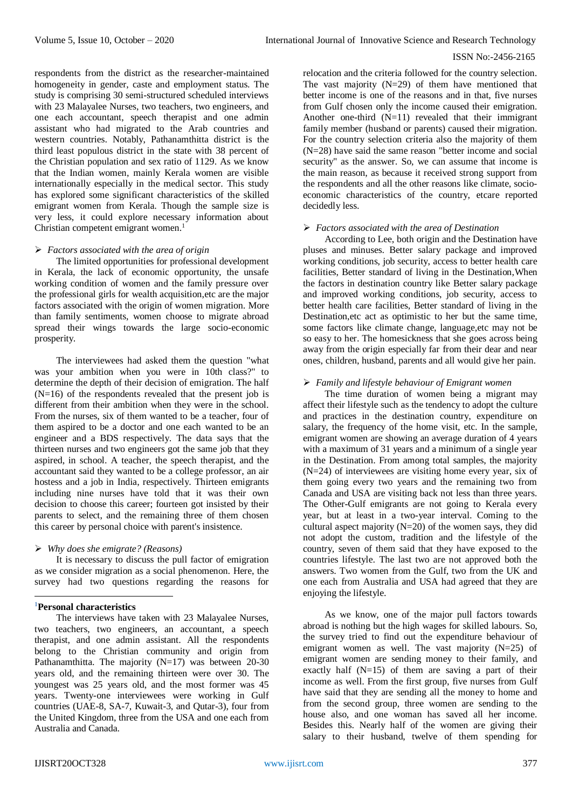respondents from the district as the researcher-maintained homogeneity in gender, caste and employment status. The study is comprising 30 semi-structured scheduled interviews with 23 Malayalee Nurses, two teachers, two engineers, and one each accountant, speech therapist and one admin assistant who had migrated to the Arab countries and western countries. Notably, Pathanamthitta district is the third least populous district in the state with 38 percent of the Christian population and sex ratio of 1129. As we know that the Indian women, mainly Kerala women are visible internationally especially in the medical sector. This study has explored some significant characteristics of the skilled emigrant women from Kerala. Though the sample size is very less, it could explore necessary information about Christian competent emigrant women.<sup>1</sup>

# *Factors associated with the area of origin*

The limited opportunities for professional development in Kerala, the lack of economic opportunity, the unsafe working condition of women and the family pressure over the professional girls for wealth acquisition,etc are the major factors associated with the origin of women migration. More than family sentiments, women choose to migrate abroad spread their wings towards the large socio-economic prosperity.

The interviewees had asked them the question "what was your ambition when you were in 10th class?" to determine the depth of their decision of emigration. The half  $(N=16)$  of the respondents revealed that the present job is different from their ambition when they were in the school. From the nurses, six of them wanted to be a teacher, four of them aspired to be a doctor and one each wanted to be an engineer and a BDS respectively. The data says that the thirteen nurses and two engineers got the same job that they aspired, in school. A teacher, the speech therapist, and the accountant said they wanted to be a college professor, an air hostess and a job in India, respectively. Thirteen emigrants including nine nurses have told that it was their own decision to choose this career; fourteen got insisted by their parents to select, and the remaining three of them chosen this career by personal choice with parent's insistence.

## *Why does she emigrate? (Reasons)*

It is necessary to discuss the pull factor of emigration as we consider migration as a social phenomenon. Here, the survey had two questions regarding the reasons for

#### **<sup>1</sup>Personal characteristics**

1

The interviews have taken with 23 Malayalee Nurses, two teachers, two engineers, an accountant, a speech therapist, and one admin assistant. All the respondents belong to the Christian community and origin from Pathanamthitta. The majority  $(N=17)$  was between 20-30 years old, and the remaining thirteen were over 30. The youngest was 25 years old, and the most former was 45 years. Twenty-one interviewees were working in Gulf countries (UAE-8, SA-7, Kuwait-3, and Qutar-3), four from the United Kingdom, three from the USA and one each from Australia and Canada.

relocation and the criteria followed for the country selection. The vast majority  $(N=29)$  of them have mentioned that better income is one of the reasons and in that, five nurses from Gulf chosen only the income caused their emigration. Another one-third  $(N=11)$  revealed that their immigrant family member (husband or parents) caused their migration. For the country selection criteria also the majority of them (N=28) have said the same reason "better income and social security" as the answer. So, we can assume that income is the main reason, as because it received strong support from the respondents and all the other reasons like climate, socioeconomic characteristics of the country, etcare reported decidedly less.

#### *Factors associated with the area of Destination*

According to Lee, both origin and the Destination have pluses and minuses. Better salary package and improved working conditions, job security, access to better health care facilities, Better standard of living in the Destination,When the factors in destination country like Better salary package and improved working conditions, job security, access to better health care facilities, Better standard of living in the Destination,etc act as optimistic to her but the same time, some factors like climate change, language,etc may not be so easy to her. The homesickness that she goes across being away from the origin especially far from their dear and near ones, children, husband, parents and all would give her pain.

## *Family and lifestyle behaviour of Emigrant women*

The time duration of women being a migrant may affect their lifestyle such as the tendency to adopt the culture and practices in the destination country, expenditure on salary, the frequency of the home visit, etc. In the sample, emigrant women are showing an average duration of 4 years with a maximum of 31 years and a minimum of a single year in the Destination. From among total samples, the majority (N=24) of interviewees are visiting home every year, six of them going every two years and the remaining two from Canada and USA are visiting back not less than three years. The Other-Gulf emigrants are not going to Kerala every year, but at least in a two-year interval. Coming to the cultural aspect majority  $(N=20)$  of the women says, they did not adopt the custom, tradition and the lifestyle of the country, seven of them said that they have exposed to the countries lifestyle. The last two are not approved both the answers. Two women from the Gulf, two from the UK and one each from Australia and USA had agreed that they are enjoying the lifestyle.

As we know, one of the major pull factors towards abroad is nothing but the high wages for skilled labours. So, the survey tried to find out the expenditure behaviour of emigrant women as well. The vast majority  $(N=25)$  of emigrant women are sending money to their family, and exactly half  $(N=15)$  of them are saving a part of their income as well. From the first group, five nurses from Gulf have said that they are sending all the money to home and from the second group, three women are sending to the house also, and one woman has saved all her income. Besides this. Nearly half of the women are giving their salary to their husband, twelve of them spending for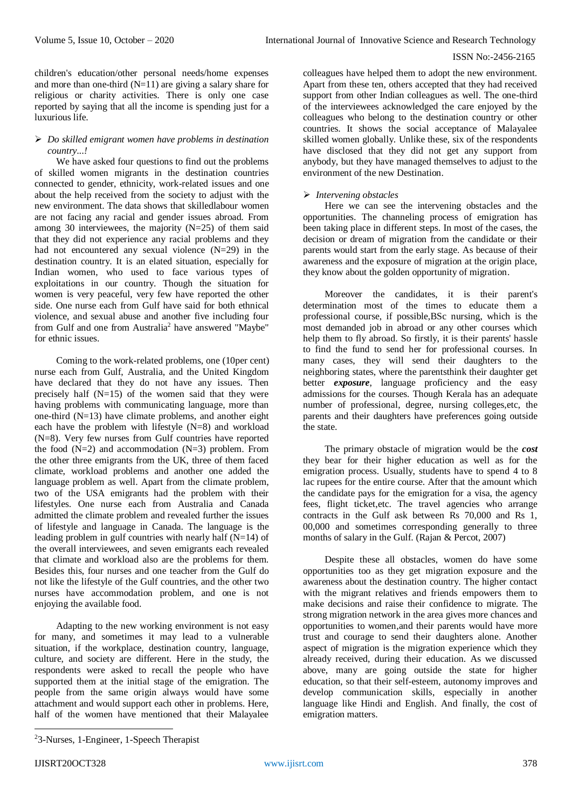children's education/other personal needs/home expenses and more than one-third  $(N=11)$  are giving a salary share for religious or charity activities. There is only one case reported by saying that all the income is spending just for a luxurious life.

# *Do skilled emigrant women have problems in destination country...!*

We have asked four questions to find out the problems of skilled women migrants in the destination countries connected to gender, ethnicity, work-related issues and one about the help received from the society to adjust with the new environment. The data shows that skilledlabour women are not facing any racial and gender issues abroad. From among 30 interviewees, the majority  $(N=25)$  of them said that they did not experience any racial problems and they had not encountered any sexual violence (N=29) in the destination country. It is an elated situation, especially for Indian women, who used to face various types of exploitations in our country. Though the situation for women is very peaceful, very few have reported the other side. One nurse each from Gulf have said for both ethnical violence, and sexual abuse and another five including four from Gulf and one from Australia<sup>2</sup> have answered "Maybe" for ethnic issues.

Coming to the work-related problems, one (10per cent) nurse each from Gulf, Australia, and the United Kingdom have declared that they do not have any issues. Then precisely half  $(N=15)$  of the women said that they were having problems with communicating language, more than one-third (N=13) have climate problems, and another eight each have the problem with lifestyle (N=8) and workload (N=8). Very few nurses from Gulf countries have reported the food  $(N=2)$  and accommodation  $(N=3)$  problem. From the other three emigrants from the UK, three of them faced climate, workload problems and another one added the language problem as well. Apart from the climate problem, two of the USA emigrants had the problem with their lifestyles. One nurse each from Australia and Canada admitted the climate problem and revealed further the issues of lifestyle and language in Canada. The language is the leading problem in gulf countries with nearly half (N=14) of the overall interviewees, and seven emigrants each revealed that climate and workload also are the problems for them. Besides this, four nurses and one teacher from the Gulf do not like the lifestyle of the Gulf countries, and the other two nurses have accommodation problem, and one is not enjoying the available food.

Adapting to the new working environment is not easy for many, and sometimes it may lead to a vulnerable situation, if the workplace, destination country, language, culture, and society are different. Here in the study, the respondents were asked to recall the people who have supported them at the initial stage of the emigration. The people from the same origin always would have some attachment and would support each other in problems. Here, half of the women have mentioned that their Malayalee

colleagues have helped them to adopt the new environment. Apart from these ten, others accepted that they had received support from other Indian colleagues as well. The one-third of the interviewees acknowledged the care enjoyed by the colleagues who belong to the destination country or other countries. It shows the social acceptance of Malayalee skilled women globally. Unlike these, six of the respondents have disclosed that they did not get any support from anybody, but they have managed themselves to adjust to the environment of the new Destination.

# *Intervening obstacles*

Here we can see the intervening obstacles and the opportunities. The channeling process of emigration has been taking place in different steps. In most of the cases, the decision or dream of migration from the candidate or their parents would start from the early stage. As because of their awareness and the exposure of migration at the origin place, they know about the golden opportunity of migration.

Moreover the candidates, it is their parent's determination most of the times to educate them a professional course, if possible,BSc nursing, which is the most demanded job in abroad or any other courses which help them to fly abroad. So firstly, it is their parents' hassle to find the fund to send her for professional courses. In many cases, they will send their daughters to the neighboring states, where the parentsthink their daughter get better *exposure*, language proficiency and the easy admissions for the courses. Though Kerala has an adequate number of professional, degree, nursing colleges,etc, the parents and their daughters have preferences going outside the state.

The primary obstacle of migration would be the *cost* they bear for their higher education as well as for the emigration process. Usually, students have to spend 4 to 8 lac rupees for the entire course. After that the amount which the candidate pays for the emigration for a visa, the agency fees, flight ticket,etc. The travel agencies who arrange contracts in the Gulf ask between Rs 70,000 and Rs 1, 00,000 and sometimes corresponding generally to three months of salary in the Gulf. (Rajan & Percot, 2007)

Despite these all obstacles, women do have some opportunities too as they get migration exposure and the awareness about the destination country. The higher contact with the migrant relatives and friends empowers them to make decisions and raise their confidence to migrate. The strong migration network in the area gives more chances and opportunities to women,and their parents would have more trust and courage to send their daughters alone. Another aspect of migration is the migration experience which they already received, during their education. As we discussed above, many are going outside the state for higher education, so that their self-esteem, autonomy improves and develop communication skills, especially in another language like Hindi and English. And finally, the cost of emigration matters.

-

<sup>2</sup>3-Nurses, 1-Engineer, 1-Speech Therapist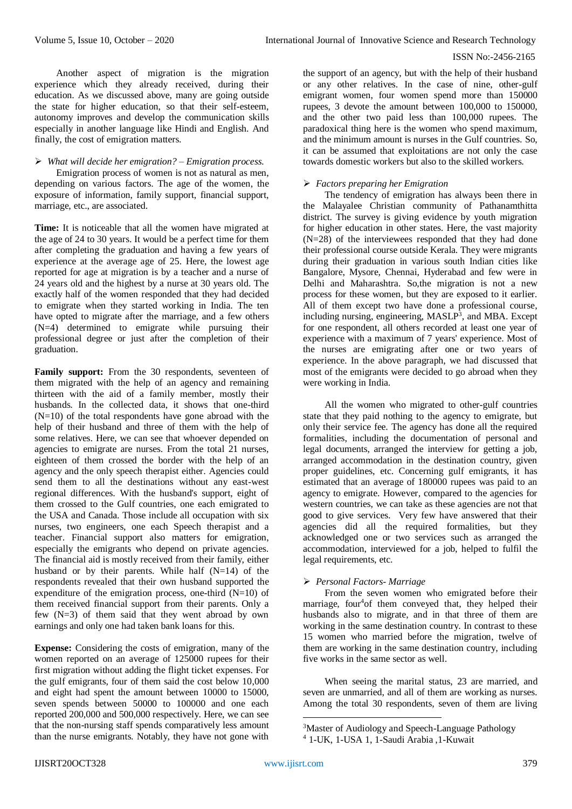Another aspect of migration is the migration experience which they already received, during their education. As we discussed above, many are going outside the state for higher education, so that their self-esteem, autonomy improves and develop the communication skills especially in another language like Hindi and English. And finally, the cost of emigration matters.

# *What will decide her emigration? – Emigration process.*

Emigration process of women is not as natural as men, depending on various factors. The age of the women, the exposure of information, family support, financial support, marriage, etc., are associated.

**Time:** It is noticeable that all the women have migrated at the age of 24 to 30 years. It would be a perfect time for them after completing the graduation and having a few years of experience at the average age of 25. Here, the lowest age reported for age at migration is by a teacher and a nurse of 24 years old and the highest by a nurse at 30 years old. The exactly half of the women responded that they had decided to emigrate when they started working in India. The ten have opted to migrate after the marriage, and a few others (N=4) determined to emigrate while pursuing their professional degree or just after the completion of their graduation.

**Family support:** From the 30 respondents, seventeen of them migrated with the help of an agency and remaining thirteen with the aid of a family member, mostly their husbands. In the collected data, it shows that one-third  $(N=10)$  of the total respondents have gone abroad with the help of their husband and three of them with the help of some relatives. Here, we can see that whoever depended on agencies to emigrate are nurses. From the total 21 nurses, eighteen of them crossed the border with the help of an agency and the only speech therapist either. Agencies could send them to all the destinations without any east-west regional differences. With the husband's support, eight of them crossed to the Gulf countries, one each emigrated to the USA and Canada. Those include all occupation with six nurses, two engineers, one each Speech therapist and a teacher. Financial support also matters for emigration, especially the emigrants who depend on private agencies. The financial aid is mostly received from their family, either husband or by their parents. While half  $(N=14)$  of the respondents revealed that their own husband supported the expenditure of the emigration process, one-third  $(N=10)$  of them received financial support from their parents. Only a few (N=3) of them said that they went abroad by own earnings and only one had taken bank loans for this.

**Expense:** Considering the costs of emigration, many of the women reported on an average of 125000 rupees for their first migration without adding the flight ticket expenses. For the gulf emigrants, four of them said the cost below 10,000 and eight had spent the amount between 10000 to 15000, seven spends between 50000 to 100000 and one each reported 200,000 and 500,000 respectively. Here, we can see that the non-nursing staff spends comparatively less amount than the nurse emigrants. Notably, they have not gone with

the support of an agency, but with the help of their husband or any other relatives. In the case of nine, other-gulf emigrant women, four women spend more than 150000 rupees, 3 devote the amount between 100,000 to 150000, and the other two paid less than 100,000 rupees. The paradoxical thing here is the women who spend maximum, and the minimum amount is nurses in the Gulf countries. So, it can be assumed that exploitations are not only the case towards domestic workers but also to the skilled workers.

## *Factors preparing her Emigration*

The tendency of emigration has always been there in the Malayalee Christian community of Pathanamthitta district. The survey is giving evidence by youth migration for higher education in other states. Here, the vast majority  $(N=28)$  of the interviewees responded that they had done their professional course outside Kerala. They were migrants during their graduation in various south Indian cities like Bangalore, Mysore, Chennai, Hyderabad and few were in Delhi and Maharashtra. So,the migration is not a new process for these women, but they are exposed to it earlier. All of them except two have done a professional course, including nursing, engineering, MASLP<sup>3</sup>, and MBA. Except for one respondent, all others recorded at least one year of experience with a maximum of 7 years' experience. Most of the nurses are emigrating after one or two years of experience. In the above paragraph, we had discussed that most of the emigrants were decided to go abroad when they were working in India.

All the women who migrated to other-gulf countries state that they paid nothing to the agency to emigrate, but only their service fee. The agency has done all the required formalities, including the documentation of personal and legal documents, arranged the interview for getting a job, arranged accommodation in the destination country, given proper guidelines, etc. Concerning gulf emigrants, it has estimated that an average of 180000 rupees was paid to an agency to emigrate. However, compared to the agencies for western countries, we can take as these agencies are not that good to give services. Very few have answered that their agencies did all the required formalities, but they acknowledged one or two services such as arranged the accommodation, interviewed for a job, helped to fulfil the legal requirements, etc.

# *Personal Factors- Marriage*

From the seven women who emigrated before their marriage, four<sup>4</sup>of them conveyed that, they helped their husbands also to migrate, and in that three of them are working in the same destination country. In contrast to these 15 women who married before the migration, twelve of them are working in the same destination country, including five works in the same sector as well.

When seeing the marital status, 23 are married, and seven are unmarried, and all of them are working as nurses. Among the total 30 respondents, seven of them are living

**.** 

<sup>3</sup>Master of Audiology and Speech-Language Pathology

<sup>4</sup> 1-UK, 1-USA 1, 1-Saudi Arabia ,1-Kuwait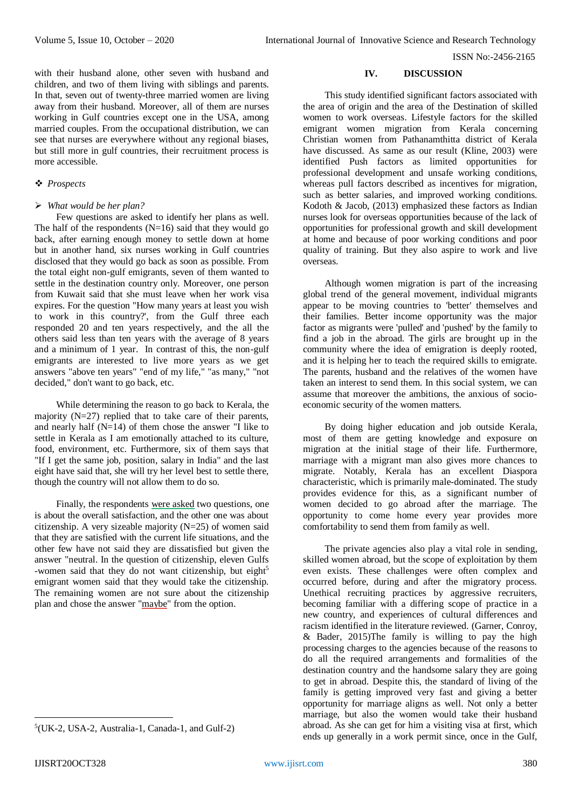with their husband alone, other seven with husband and children, and two of them living with siblings and parents. In that, seven out of twenty-three married women are living away from their husband. Moreover, all of them are nurses working in Gulf countries except one in the USA, among married couples. From the occupational distribution, we can see that nurses are everywhere without any regional biases, but still more in gulf countries, their recruitment process is more accessible.

# *Prospects*

#### *What would be her plan?*

Few questions are asked to identify her plans as well. The half of the respondents  $(N=16)$  said that they would go back, after earning enough money to settle down at home but in another hand, six nurses working in Gulf countries disclosed that they would go back as soon as possible. From the total eight non-gulf emigrants, seven of them wanted to settle in the destination country only. Moreover, one person from Kuwait said that she must leave when her work visa expires. For the question "How many years at least you wish to work in this country?', from the Gulf three each responded 20 and ten years respectively, and the all the others said less than ten years with the average of 8 years and a minimum of 1 year. In contrast of this, the non-gulf emigrants are interested to live more years as we get answers "above ten years" "end of my life," "as many," "not decided," don't want to go back, etc.

While determining the reason to go back to Kerala, the majority  $(N=27)$  replied that to take care of their parents. and nearly half  $(N=14)$  of them chose the answer "I like to settle in Kerala as I am emotionally attached to its culture, food, environment, etc. Furthermore, six of them says that "If I get the same job, position, salary in India" and the last eight have said that, she will try her level best to settle there, though the country will not allow them to do so.

Finally, the respondents were asked two questions, one is about the overall satisfaction, and the other one was about citizenship. A very sizeable majority (N=25) of women said that they are satisfied with the current life situations, and the other few have not said they are dissatisfied but given the answer "neutral. In the question of citizenship, eleven Gulfs -women said that they do not want citizenship, but eight<sup>5</sup> emigrant women said that they would take the citizenship. The remaining women are not sure about the citizenship plan and chose the answer "maybe" from the option.

## **IV. DISCUSSION**

This study identified significant factors associated with the area of origin and the area of the Destination of skilled women to work overseas. Lifestyle factors for the skilled emigrant women migration from Kerala concerning Christian women from Pathanamthitta district of Kerala have discussed. As same as our result (Kline, 2003) were identified Push factors as limited opportunities for professional development and unsafe working conditions, whereas pull factors described as incentives for migration, such as better salaries, and improved working conditions. Kodoth & Jacob, (2013) emphasized these factors as Indian nurses look for overseas opportunities because of the lack of opportunities for professional growth and skill development at home and because of poor working conditions and poor quality of training. But they also aspire to work and live overseas.

Although women migration is part of the increasing global trend of the general movement, individual migrants appear to be moving countries to 'better' themselves and their families. Better income opportunity was the major factor as migrants were 'pulled' and 'pushed' by the family to find a job in the abroad. The girls are brought up in the community where the idea of emigration is deeply rooted, and it is helping her to teach the required skills to emigrate. The parents, husband and the relatives of the women have taken an interest to send them. In this social system, we can assume that moreover the ambitions, the anxious of socioeconomic security of the women matters.

By doing higher education and job outside Kerala, most of them are getting knowledge and exposure on migration at the initial stage of their life. Furthermore, marriage with a migrant man also gives more chances to migrate. Notably, Kerala has an excellent Diaspora characteristic, which is primarily male-dominated. The study provides evidence for this, as a significant number of women decided to go abroad after the marriage. The opportunity to come home every year provides more comfortability to send them from family as well.

The private agencies also play a vital role in sending, skilled women abroad, but the scope of exploitation by them even exists. These challenges were often complex and occurred before, during and after the migratory process. Unethical recruiting practices by aggressive recruiters, becoming familiar with a differing scope of practice in a new country, and experiences of cultural differences and racism identified in the literature reviewed. (Garner, Conroy, & Bader, 2015)The family is willing to pay the high processing charges to the agencies because of the reasons to do all the required arrangements and formalities of the destination country and the handsome salary they are going to get in abroad. Despite this, the standard of living of the family is getting improved very fast and giving a better opportunity for marriage aligns as well. Not only a better marriage, but also the women would take their husband abroad. As she can get for him a visiting visa at first, which ends up generally in a work permit since, once in the Gulf,

**.** 

<sup>5</sup> (UK-2, USA-2, Australia-1, Canada-1, and Gulf-2)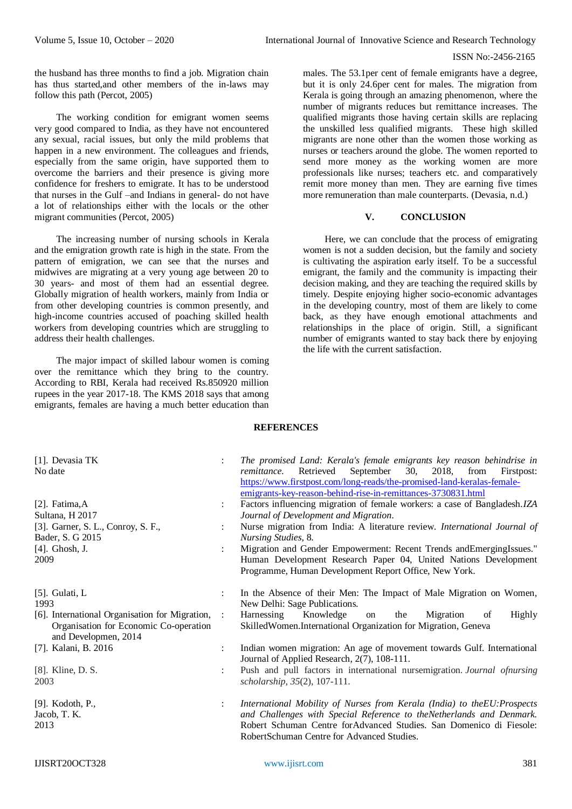the husband has three months to find a job. Migration chain has thus started,and other members of the in-laws may follow this path (Percot, 2005)

The working condition for emigrant women seems very good compared to India, as they have not encountered any sexual, racial issues, but only the mild problems that happen in a new environment. The colleagues and friends, especially from the same origin, have supported them to overcome the barriers and their presence is giving more confidence for freshers to emigrate. It has to be understood that nurses in the Gulf –and Indians in general- do not have a lot of relationships either with the locals or the other migrant communities (Percot, 2005)

The increasing number of nursing schools in Kerala and the emigration growth rate is high in the state. From the pattern of emigration, we can see that the nurses and midwives are migrating at a very young age between 20 to 30 years- and most of them had an essential degree. Globally migration of health workers, mainly from India or from other developing countries is common presently, and high-income countries accused of poaching skilled health workers from developing countries which are struggling to address their health challenges.

The major impact of skilled labour women is coming over the remittance which they bring to the country. According to RBI, Kerala had received Rs.850920 million rupees in the year 2017-18. The KMS 2018 says that among emigrants, females are having a much better education than

males. The 53.1per cent of female emigrants have a degree, but it is only 24.6per cent for males. The migration from Kerala is going through an amazing phenomenon, where the number of migrants reduces but remittance increases. The qualified migrants those having certain skills are replacing the unskilled less qualified migrants. These high skilled migrants are none other than the women those working as nurses or teachers around the globe. The women reported to send more money as the working women are more professionals like nurses; teachers etc. and comparatively remit more money than men. They are earning five times more remuneration than male counterparts. (Devasia, n.d.)

# **V. CONCLUSION**

Here, we can conclude that the process of emigrating women is not a sudden decision, but the family and society is cultivating the aspiration early itself. To be a successful emigrant, the family and the community is impacting their decision making, and they are teaching the required skills by timely. Despite enjoying higher socio-economic advantages in the developing country, most of them are likely to come back, as they have enough emotional attachments and relationships in the place of origin. Still, a significant number of emigrants wanted to stay back there by enjoying the life with the current satisfaction.

## **REFERENCES**

| [1]. Devasia TK<br>No date                                                                                       |                      | The promised Land: Kerala's female emigrants key reason behindrise in<br>2018,<br>Retrieved<br>September<br>30,<br>from<br>remittance.<br>Firstpost:<br>https://www.firstpost.com/long-reads/the-promised-land-keralas-female-<br>emigrants-key-reason-behind-rise-in-remittances-3730831.html |
|------------------------------------------------------------------------------------------------------------------|----------------------|------------------------------------------------------------------------------------------------------------------------------------------------------------------------------------------------------------------------------------------------------------------------------------------------|
| [2]. Fatima, $A$                                                                                                 | $\ddot{\phantom{a}}$ | Factors influencing migration of female workers: a case of Bangladesh.IZA                                                                                                                                                                                                                      |
| Sultana, H 2017                                                                                                  |                      | Journal of Development and Migration.                                                                                                                                                                                                                                                          |
| [3]. Garner, S. L., Conroy, S. F.,<br>Bader, S. G 2015                                                           |                      | Nurse migration from India: A literature review. International Journal of<br>Nursing Studies, 8.                                                                                                                                                                                               |
| $[4]$ . Ghosh, J.                                                                                                |                      | Migration and Gender Empowerment: Recent Trends and EmergingIssues."                                                                                                                                                                                                                           |
| 2009                                                                                                             |                      | Human Development Research Paper 04, United Nations Development<br>Programme, Human Development Report Office, New York.                                                                                                                                                                       |
| $[5]$ . Gulati, L<br>1993                                                                                        | $\ddot{\phantom{a}}$ | In the Absence of their Men: The Impact of Male Migration on Women,<br>New Delhi: Sage Publications.                                                                                                                                                                                           |
| [6]. International Organisation for Migration,<br>Organisation for Economic Co-operation<br>and Developmen, 2014 | $\sim 10^7$          | Harnessing<br>Knowledge<br>Migration<br>Highly<br>the<br>of<br><sub>on</sub><br>SkilledWomen.International Organization for Migration, Geneva                                                                                                                                                  |
| [7]. Kalani, B. 2016                                                                                             |                      | Indian women migration: An age of movement towards Gulf. International<br>Journal of Applied Research, 2(7), 108-111.                                                                                                                                                                          |
| [8]. Kline, D. S.<br>2003                                                                                        |                      | Push and pull factors in international nursemigration. Journal ofnursing<br>scholarship, 35(2), 107-111.                                                                                                                                                                                       |
| [9]. Kodoth, P.,<br>Jacob, T. K.<br>2013                                                                         | $\ddot{\cdot}$       | International Mobility of Nurses from Kerala (India) to the EU: Prospects<br>and Challenges with Special Reference to theNetherlands and Denmark.<br>Robert Schuman Centre forAdvanced Studies. San Domenico di Fiesole:<br>RobertSchuman Centre for Advanced Studies.                         |